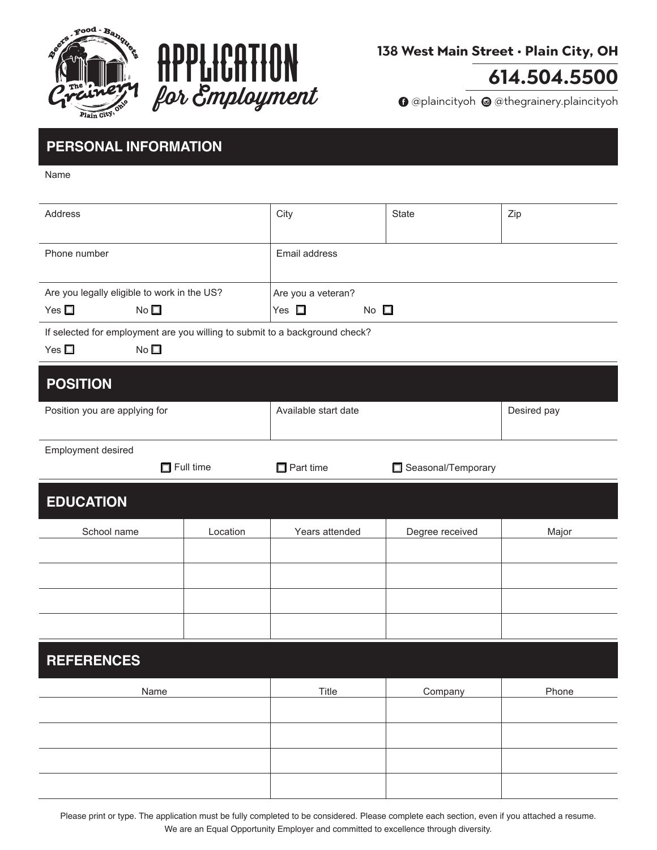



#### 138 West Main Street . Plain City, OH

# 614.504.5500

**O** @plaincityoh @ @thegrainery.plaincityoh

## **PERSONAL INFORMATION**

Name

| Address                                                                                                         |                  | City                          | <b>State</b>       | Zip         |
|-----------------------------------------------------------------------------------------------------------------|------------------|-------------------------------|--------------------|-------------|
| Phone number                                                                                                    |                  | Email address                 |                    |             |
| Are you legally eligible to work in the US?                                                                     |                  | Are you a veteran?            |                    |             |
| Yes $\square$<br>No <sub>1</sub>                                                                                |                  | Yes $\square$<br>No $\square$ |                    |             |
| If selected for employment are you willing to submit to a background check?<br>Yes $\square$<br>No <sub>1</sub> |                  |                               |                    |             |
| <b>POSITION</b>                                                                                                 |                  |                               |                    |             |
| Position you are applying for                                                                                   |                  | Available start date          |                    | Desired pay |
| Employment desired                                                                                              |                  |                               |                    |             |
|                                                                                                                 | $\Box$ Full time | $\Box$ Part time              | Seasonal/Temporary |             |
| <b>EDUCATION</b>                                                                                                |                  |                               |                    |             |
| School name                                                                                                     | Location         | Years attended                | Degree received    | Major       |
|                                                                                                                 |                  |                               |                    |             |
|                                                                                                                 |                  |                               |                    |             |
|                                                                                                                 |                  |                               |                    |             |
|                                                                                                                 |                  |                               |                    |             |
| <b>REFERENCES</b>                                                                                               |                  |                               |                    |             |
| Name                                                                                                            |                  | Title                         | Company            | Phone       |
|                                                                                                                 |                  |                               |                    |             |
|                                                                                                                 |                  |                               |                    |             |
|                                                                                                                 |                  |                               |                    |             |
|                                                                                                                 |                  |                               |                    |             |

Please print or type. The application must be fully completed to be considered. Please complete each section, even if you attached a resume. We are an Equal Opportunity Employer and committed to excellence through diversity.